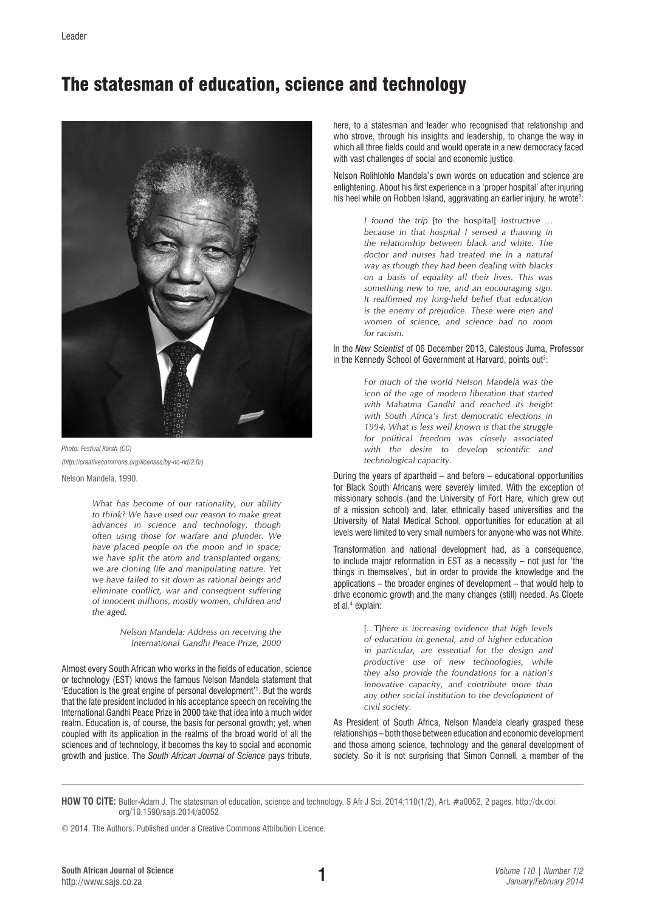## The statesman of education, science and technology



*Photo: Festival Karsh (CC) (<http://creativecommons.org/licenses/by-nc-nd/2.0/>)*

Nelson Mandela, 1990.

*What has become of our rationality, our ability to think? We have used our reason to make great advances in science and technology, though often using those for warfare and plunder. We have placed people on the moon and in space; we have split the atom and transplanted organs; we are cloning life and manipulating nature. Yet we have failed to sit down as rational beings and eliminate conflict, war and consequent suffering of innocent millions, mostly women, children and the aged.*

## *Nelson Mandela: Address on receiving the International Gandhi Peace Prize, 2000*

Almost every South African who works in the fields of education, science or technology (EST) knows the famous Nelson Mandela statement that 'Education is the great engine of personal development'1 . But the words that the late president included in his acceptance speech on receiving the International Gandhi Peace Prize in 2000 take that idea into a much wider realm. Education is, of course, the basis for personal growth; yet, when coupled with its application in the realms of the broad world of all the sciences and of technology, it becomes the key to social and economic growth and justice. The *South African Journal of Science* pays tribute, here, to a statesman and leader who recognised that relationship and who strove, through his insights and leadership, to change the way in which all three fields could and would operate in a new democracy faced with vast challenges of social and economic justice.

Nelson Rolihlohlo Mandela's own words on education and science are enlightening. About his first experience in a 'proper hospital' after injuring his heel while on Robben Island, aggravating an earlier injury, he wrote<sup>2</sup>:

> *I found the trip* [to the hospital] *instructive … because in that hospital I sensed a thawing in the relationship between black and white. The doctor and nurses had treated me in a natural way as though they had been dealing with blacks on a basis of equality all their lives. This was something new to me, and an encouraging sign. It reaffirmed my long-held belief that education is the enemy of prejudice. These were men and women of science, and science had no room for racism.*

In the *New Scientist* of 06 December 2013, Calestous Juma, Professor in the Kennedy School of Government at Harvard, points out<sup>3</sup>:

> *For much of the world Nelson Mandela was the icon of the age of modern liberation that started with Mahatma Gandhi and reached its height with South Africa's first democratic elections in 1994. What is less well known is that the struggle for political freedom was closely associated with the desire to develop scientific and technological capacity.*

During the years of apartheid – and before – educational opportunities for Black South Africans were severely limited. With the exception of missionary schools (and the University of Fort Hare, which grew out of a mission school) and, later, ethnically based universities and the University of Natal Medical School, opportunities for education at all levels were limited to very small numbers for anyone who was not White.

Transformation and national development had, as a consequence, to include major reformation in EST as a necessity – not just for 'the things in themselves', but in order to provide the knowledge and the applications – the broader engines of development – that would help to drive economic growth and the many changes (still) needed. As Cloete et al.<sup>4</sup> explain:

> […T]*here is increasing evidence that high levels of education in general, and of higher education in particular, are essential for the design and productive use of new technologies, while they also provide the foundations for a nation's innovative capacity, and contribute more than any other social institution to the development of civil society.*

As President of South Africa, Nelson Mandela clearly grasped these relationships – both those between education and economic development and those among science, technology and the general development of society. So it is not surprising that Simon Connell, a member of the

**HOW TO CITE:** Butler-Adam J. The statesman of education, science and technology. S Afr J Sci. 2014;110(1/2), Art. #a0052, 2 pages. [http://dx.doi.](http://dx.doi.org/10.1590/sajs.2014/a0052) [org/10.1590/sajs.2014/a0052](http://dx.doi.org/10.1590/sajs.2014/a0052)

© 2014. The Authors. Published under a Creative Commons Attribution Licence.